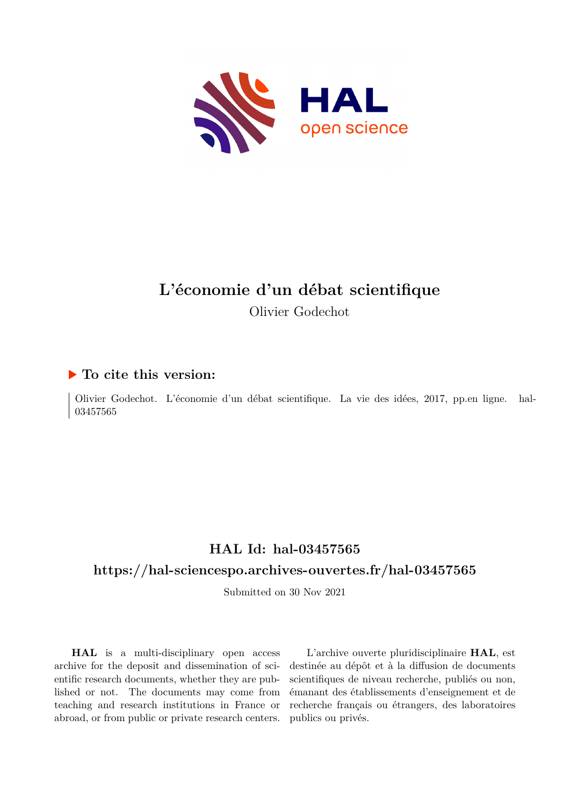

# **L'économie d'un débat scientifique** Olivier Godechot

### **To cite this version:**

Olivier Godechot. L'économie d'un débat scientifique. La vie des idées, 2017, pp.en ligne. hal-03457565

## **HAL Id: hal-03457565**

### **<https://hal-sciencespo.archives-ouvertes.fr/hal-03457565>**

Submitted on 30 Nov 2021

**HAL** is a multi-disciplinary open access archive for the deposit and dissemination of scientific research documents, whether they are published or not. The documents may come from teaching and research institutions in France or abroad, or from public or private research centers.

L'archive ouverte pluridisciplinaire **HAL**, est destinée au dépôt et à la diffusion de documents scientifiques de niveau recherche, publiés ou non, émanant des établissements d'enseignement et de recherche français ou étrangers, des laboratoires publics ou privés.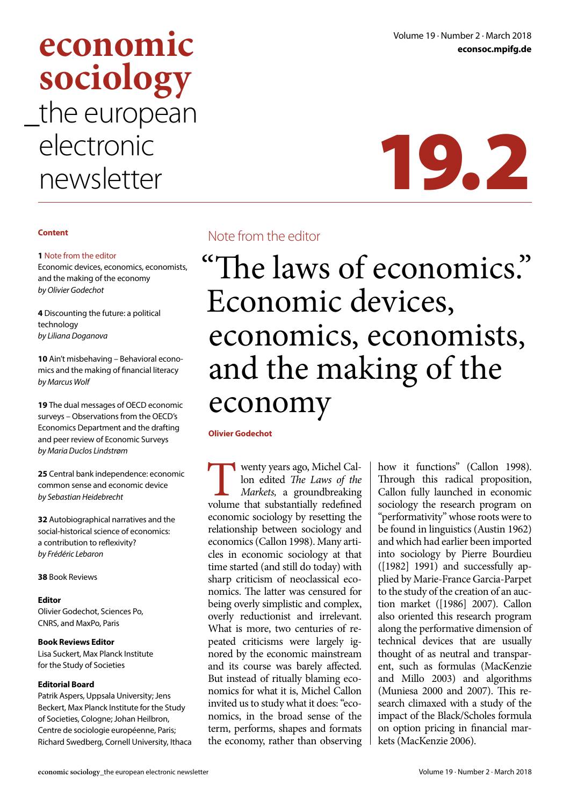# **CONOMIC** Volume 19 · Number 2 · March 2018 **sociology** the european electronic electronic<br>newsletter 19.2

#### **Content**

#### **1** Note from the editor

Economic devices, economics, economists, and the making of the economy *by Olivier Godechot*

**4** Discounting the future: a political technology *by Liliana Doganova*

**10** Ain't misbehaving – Behavioral economics and the making of financial literacy *by Marcus Wolf*

**19** The dual messages of OECD economic surveys – Observations from the OECD's Economics Department and the drafting and peer review of Economic Surveys *by Maria Duclos Lindstrøm*

**25** Central bank independence: economic common sense and economic device *by Sebastian Heidebrecht*

**32** Autobiographical narratives and the social-historical science of economics: a contribution to reflexivity? *by Frédéric Lebaron*

**38** Book Reviews

#### **Editor**

Olivier Godechot, Sciences Po, CNRS, and MaxPo, Paris

#### **Book Reviews Editor**

Lisa Suckert, Max Planck Institute for the Study of Societies

#### **Editorial Board**

Patrik Aspers, Uppsala University; Jens Beckert, Max Planck Institute for the Study of Societies, Cologne; Johan Heilbron, Centre de sociologie européenne, Paris; Richard Swedberg, Cornell University, Ithaca

## Note from the editor

# "The laws of economics." Economic devices, economics, economists, and the making of the economy

**Olivier Godechot**

Wenty years ago, Michel Callon edited The Laws of the Markets, a groundbreaking volume that substantially redefined lon edited *The Laws of the Markets,* a groundbreaking economic sociology by resetting the relationship between sociology and economics (Callon 1998). Many articles in economic sociology at that time started (and still do today) with sharp criticism of neoclassical economics. The latter was censured for being overly simplistic and complex, overly reductionist and irrelevant. What is more, two centuries of repeated criticisms were largely ignored by the economic mainstream and its course was barely affected. But instead of ritually blaming economics for what it is, Michel Callon invited us to study what it does: "economics, in the broad sense of the term, performs, shapes and formats the economy, rather than observing

how it functions" (Callon 1998). Through this radical proposition, Callon fully launched in economic sociology the research program on "performativity" whose roots were to be found in linguistics (Austin 1962) and which had earlier been imported into sociology by Pierre Bourdieu  $(1982)$  1991) and successfully applied by Marie-France Garcia-Parpet to the study of the creation of an auction market ([1986] 2007). Callon also oriented this research program along the performative dimension of technical devices that are usually thought of as neutral and transparent, such as formulas (MacKenzie and Millo 2003) and algorithms (Muniesa 2000 and 2007). This research climaxed with a study of the impact of the Black/Scholes formula on option pricing in financial markets (MacKenzie 2006).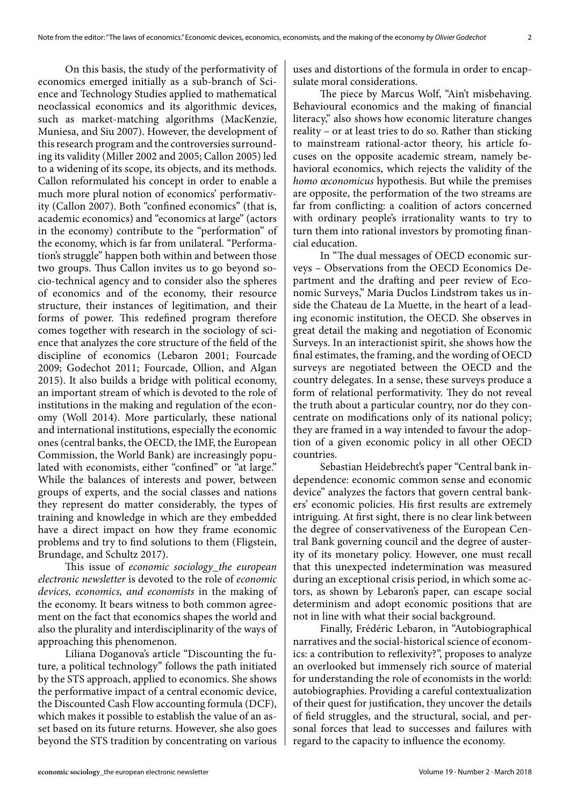On this basis, the study of the performativity of economics emerged initially as a sub-branch of Science and Technology Studies applied to mathematical neoclassical economics and its algorithmic devices, such as market-matching algorithms (MacKenzie, Muniesa, and Siu 2007). However, the development of this research program and the controversies surrounding its validity (Miller 2002 and 2005; Callon 2005) led to a widening of its scope, its objects, and its methods. Callon reformulated his concept in order to enable a much more plural notion of economics' performativity (Callon 2007). Both "confined economics" (that is, academic economics) and "economics at large" (actors in the economy) contribute to the "performation" of the economy, which is far from unilateral. "Performation's struggle" happen both within and between those two groups. Thus Callon invites us to go beyond socio-technical agency and to consider also the spheres of economics and of the economy, their resource structure, their instances of legitimation, and their forms of power. This redefined program therefore comes together with research in the sociology of science that analyzes the core structure of the field of the discipline of economics (Lebaron 2001; Fourcade 2009; Godechot 2011; Fourcade, Ollion, and Algan 2015). It also builds a bridge with political economy, an important stream of which is devoted to the role of institutions in the making and regulation of the economy (Woll 2014). More particularly, these national and international institutions, especially the economic ones (central banks, the OECD, the IMF, the European Commission, the World Bank) are increasingly populated with economists, either "confined" or "at large." While the balances of interests and power, between groups of experts, and the social classes and nations they represent do matter considerably, the types of training and knowledge in which are they embedded have a direct impact on how they frame economic problems and try to find solutions to them (Fligstein, Brundage, and Schultz 2017).

This issue of *economic sociology\_the european electronic newsletter* is devoted to the role of *economic devices, economics, and economists* in the making of the economy. It bears witness to both common agreement on the fact that economics shapes the world and also the plurality and interdisciplinarity of the ways of approaching this phenomenon.

Liliana Doganova's article "Discounting the future, a political technology" follows the path initiated by the STS approach, applied to economics. She shows the performative impact of a central economic device, the Discounted Cash Flow accounting formula (DCF), which makes it possible to establish the value of an asset based on its future returns. However, she also goes beyond the STS tradition by concentrating on various

uses and distortions of the formula in order to encapsulate moral considerations.

The piece by Marcus Wolf, "Ain't misbehaving. Behavioural economics and the making of financial literacy," also shows how economic literature changes reality – or at least tries to do so. Rather than sticking to mainstream rational-actor theory, his article focuses on the opposite academic stream, namely behavioral economics, which rejects the validity of the *homo œconomicus* hypothesis. But while the premises are opposite, the performation of the two streams are far from conflicting: a coalition of actors concerned with ordinary people's irrationality wants to try to turn them into rational investors by promoting financial education.

In "The dual messages of OECD economic surveys – Observations from the OECD Economics Department and the drafting and peer review of Economic Surveys," Maria Duclos Lindstrøm takes us inside the Chateau de La Muette, in the heart of a leading economic institution, the OECD. She observes in great detail the making and negotiation of Economic Surveys. In an interactionist spirit, she shows how the final estimates, the framing, and the wording of OECD surveys are negotiated between the OECD and the country delegates. In a sense, these surveys produce a form of relational performativity. They do not reveal the truth about a particular country, nor do they concentrate on modifications only of its national policy; they are framed in a way intended to favour the adoption of a given economic policy in all other OECD countries.

Sebastian Heidebrecht's paper "Central bank independence: economic common sense and economic device" analyzes the factors that govern central bankers' economic policies. His first results are extremely intriguing. At first sight, there is no clear link between the degree of conservativeness of the European Central Bank governing council and the degree of austerity of its monetary policy. However, one must recall that this unexpected indetermination was measured during an exceptional crisis period, in which some actors, as shown by Lebaron's paper, can escape social determinism and adopt economic positions that are not in line with what their social background.

Finally, Frédéric Lebaron, in "Autobiographical narratives and the social-historical science of economics: a contribution to reflexivity?", proposes to analyze an overlooked but immensely rich source of material for understanding the role of economists in the world: autobiographies. Providing a careful contextualization of their quest for justification, they uncover the details of field struggles, and the structural, social, and personal forces that lead to successes and failures with regard to the capacity to influence the economy.